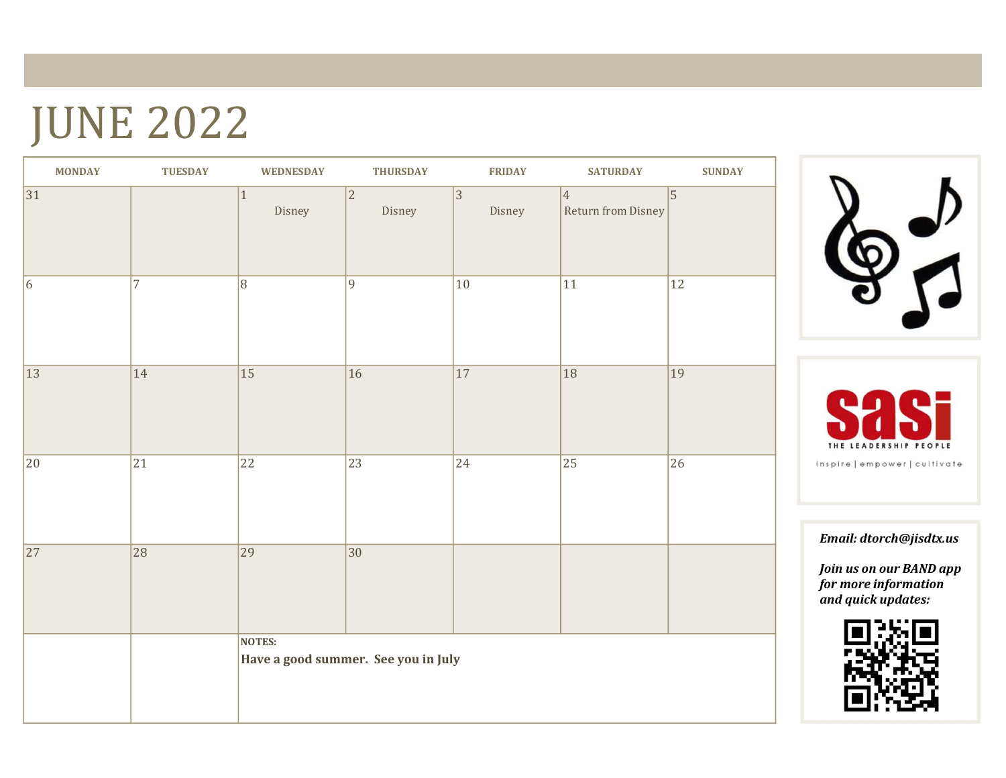## JUNE 2022

| <b>MONDAY</b>   | <b>TUESDAY</b>  | <b>WEDNESDAY</b> | <b>THURSDAY</b>                     | <b>FRIDAY</b>   | <b>SATURDAY</b>                       | <b>SUNDAY</b>   |
|-----------------|-----------------|------------------|-------------------------------------|-----------------|---------------------------------------|-----------------|
| $\overline{31}$ |                 | $1\,$<br>Disney  | $ 2\rangle$<br>Disney               | 3 <br>Disney    | $\vert 4 \vert$<br>Return from Disney | $\sqrt{5}$      |
| $6\overline{6}$ | $\overline{7}$  | $\overline{8}$   | 9                                   | 10              | $11\,$                                | $\overline{12}$ |
| $\overline{13}$ | 14              | $15$             | $\overline{16}$                     | $\overline{17}$ | 18                                    | $\overline{19}$ |
| $ 20\rangle$    | $\overline{21}$ | $\overline{22}$  | 23                                  | 24              | 25                                    | $\overline{26}$ |
| $\overline{27}$ | 28              | 29               | $\overline{30}$                     |                 |                                       |                 |
|                 |                 | NOTES:           | Have a good summer. See you in July |                 |                                       |                 |





Email: dtorch@jisdtx.us

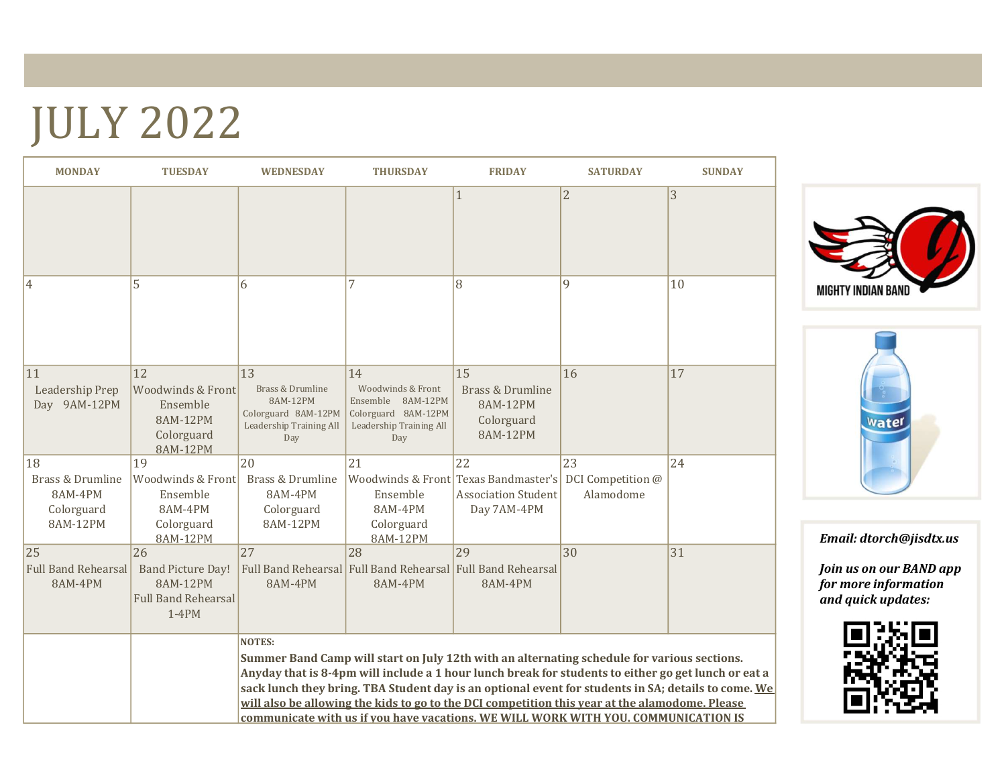# JULY 2022

| <b>MONDAY</b>                                               | <b>TUESDAY</b>                                                                              | <b>WEDNESDAY</b>                                                                                                                                                                                                                                                                                                                                                                                                                                                                                                   | <b>THURSDAY</b>                                                                                       | <b>FRIDAY</b>                                                                           | <b>SATURDAY</b>                      | <b>SUNDAY</b> |  |
|-------------------------------------------------------------|---------------------------------------------------------------------------------------------|--------------------------------------------------------------------------------------------------------------------------------------------------------------------------------------------------------------------------------------------------------------------------------------------------------------------------------------------------------------------------------------------------------------------------------------------------------------------------------------------------------------------|-------------------------------------------------------------------------------------------------------|-----------------------------------------------------------------------------------------|--------------------------------------|---------------|--|
|                                                             |                                                                                             |                                                                                                                                                                                                                                                                                                                                                                                                                                                                                                                    |                                                                                                       | $\mathbf{1}$                                                                            | $\overline{2}$                       | 3             |  |
| 4                                                           | 5                                                                                           | 6                                                                                                                                                                                                                                                                                                                                                                                                                                                                                                                  |                                                                                                       | 8                                                                                       | 9                                    | 10            |  |
| 11<br>Leadership Prep<br>Day 9AM-12PM                       | 12<br><b>Woodwinds &amp; Front</b><br>Ensemble<br>8AM-12PM<br>Colorguard<br><b>8AM-12PM</b> | 13<br>Brass & Drumline<br>8AM-12PM<br>Colorguard 8AM-12PM<br>Leadership Training All<br>Day                                                                                                                                                                                                                                                                                                                                                                                                                        | 14<br>Woodwinds & Front<br>Ensemble 8AM-12PM<br>Colorguard 8AM-12PM<br>Leadership Training All<br>Day | 15<br><b>Brass &amp; Drumline</b><br>8AM-12PM<br>Colorguard<br>8AM-12PM                 | 16                                   | 17            |  |
| 18<br>Brass & Drumline<br>8AM-4PM<br>Colorguard<br>8AM-12PM | 19<br>Woodwinds & Front<br>Ensemble<br>8AM-4PM<br>Colorguard<br>8AM-12PM                    | 20<br>Brass & Drumline<br>8AM-4PM<br>Colorguard<br>8AM-12PM                                                                                                                                                                                                                                                                                                                                                                                                                                                        | 21<br>Ensemble<br>8AM-4PM<br>Colorguard<br>8AM-12PM                                                   | 22<br>Woodwinds & Front Texas Bandmaster's<br><b>Association Student</b><br>Day 7AM-4PM | 23<br>DCI Competition @<br>Alamodome | 24            |  |
| 25<br><b>Full Band Rehearsal</b><br>8AM-4PM                 | 26<br><b>Band Picture Day!</b><br>8AM-12PM<br><b>Full Band Rehearsal</b><br>$1-4PM$         | 27<br>8AM-4PM                                                                                                                                                                                                                                                                                                                                                                                                                                                                                                      | $\overline{28}$<br>Full Band Rehearsal Full Band Rehearsal Full Band Rehearsal<br>8AM-4PM             | 29<br>8AM-4PM                                                                           | 30                                   | 31            |  |
|                                                             |                                                                                             | <b>NOTES:</b><br>Summer Band Camp will start on July 12th with an alternating schedule for various sections.<br>Anyday that is 8-4pm will include a 1 hour lunch break for students to either go get lunch or eat a<br>sack lunch they bring. TBA Student day is an optional event for students in SA; details to come. We<br>will also be allowing the kids to go to the DCI competition this year at the alamodome. Please<br>communicate with us if you have vacations. WE WILL WORK WITH YOU. COMMUNICATION IS |                                                                                                       |                                                                                         |                                      |               |  |





Email: dtorch@jisdtx.us

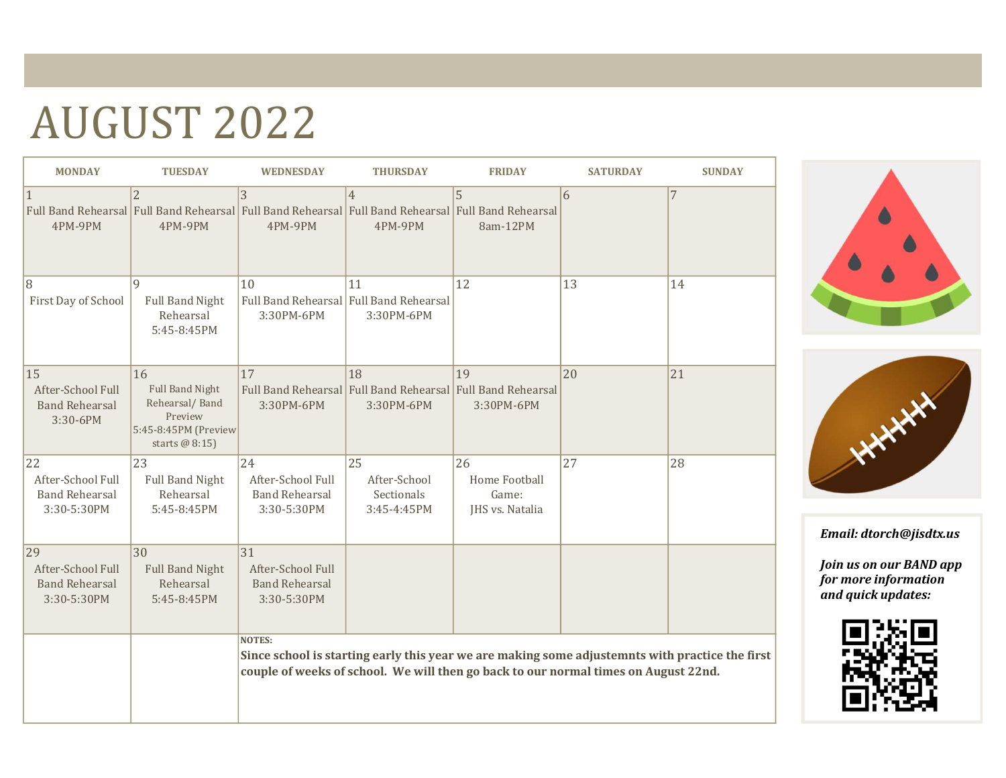# AUGUST 2022

| <b>MONDAY</b>                                                   | <b>TUESDAY</b>                                                                                      | <b>WEDNESDAY</b>                                                 | <b>THURSDAY</b>                                                                                                                  | <b>FRIDAY</b>                                   | <b>SATURDAY</b>                                                                                                                                                                        | <b>SUNDAY</b> |
|-----------------------------------------------------------------|-----------------------------------------------------------------------------------------------------|------------------------------------------------------------------|----------------------------------------------------------------------------------------------------------------------------------|-------------------------------------------------|----------------------------------------------------------------------------------------------------------------------------------------------------------------------------------------|---------------|
| $\mathbf{1}$<br>4PM-9PM                                         | $\overline{2}$<br>4PM-9PM                                                                           | $\overline{3}$<br>4PM-9PM                                        | $\overline{4}$<br>Full Band Rehearsal Full Band Rehearsal Full Band Rehearsal Full Band Rehearsal Full Band Rehearsal<br>4PM-9PM | 5<br>8am-12PM                                   | 6                                                                                                                                                                                      | 7             |
| 8<br>First Day of School                                        | $\mathbf{Q}$<br><b>Full Band Night</b><br>Rehearsal<br>5:45-8:45PM                                  | 10<br>3:30PM-6PM                                                 | 11<br>Full Band Rehearsal Full Band Rehearsal<br>3:30PM-6PM                                                                      | 12                                              | 13                                                                                                                                                                                     | 14            |
| 15<br>After-School Full<br><b>Band Rehearsal</b><br>3:30-6PM    | 16<br><b>Full Band Night</b><br>Rehearsal/Band<br>Preview<br>5:45-8:45PM (Preview<br>starts @ 8:15) | 17<br>3:30PM-6PM                                                 | 18<br>Full Band Rehearsal Full Band Rehearsal Full Band Rehearsal<br>3:30PM-6PM                                                  | 19<br>3:30PM-6PM                                | 20                                                                                                                                                                                     | 21            |
| 22<br>After-School Full<br><b>Band Rehearsal</b><br>3:30-5:30PM | 23<br><b>Full Band Night</b><br>Rehearsal<br>5:45-8:45PM                                            | 24<br>After-School Full<br><b>Band Rehearsal</b><br>3:30-5:30PM  | 25<br>After-School<br>Sectionals<br>3:45-4:45PM                                                                                  | 26<br>Home Football<br>Game:<br>JHS vs. Natalia | 27                                                                                                                                                                                     | 28            |
| 29<br>After-School Full<br><b>Band Rehearsal</b><br>3:30-5:30PM | 30<br><b>Full Band Night</b><br>Rehearsal<br>5:45-8:45PM                                            | 31 <br>After-School Full<br><b>Band Rehearsal</b><br>3:30-5:30PM |                                                                                                                                  |                                                 |                                                                                                                                                                                        |               |
|                                                                 |                                                                                                     | <b>NOTES:</b>                                                    |                                                                                                                                  |                                                 | Since school is starting early this year we are making some adjustemnts with practice the first<br>couple of weeks of school. We will then go back to our normal times on August 22nd. |               |





Email: dtorch@jisdtx.us

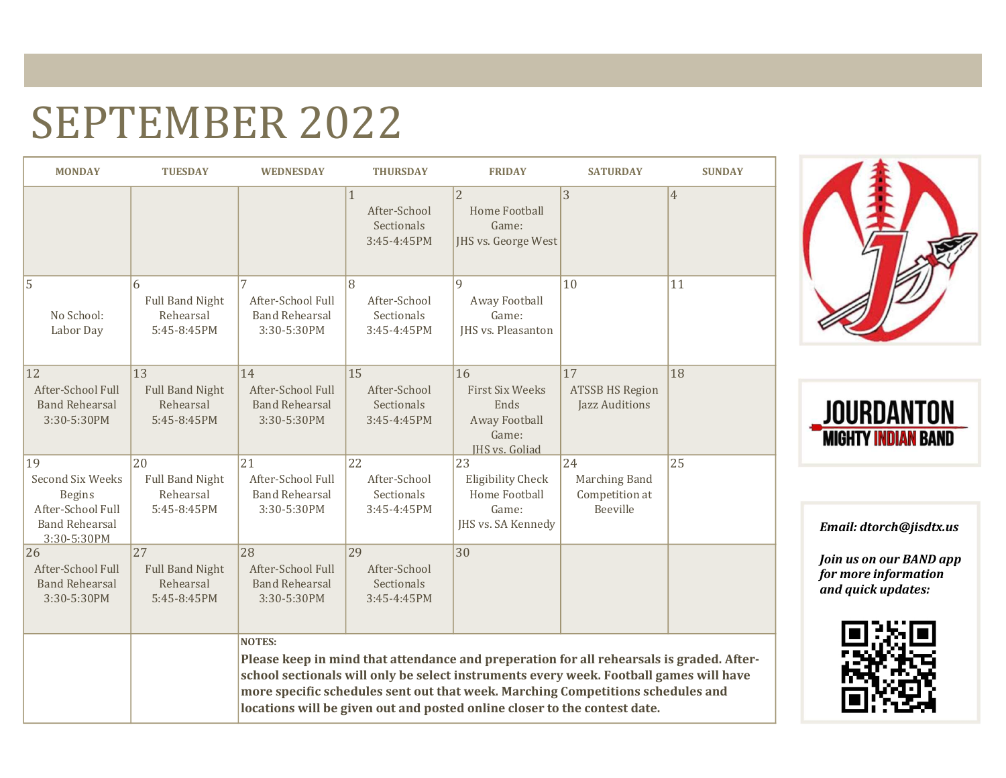### SEPTEMBER 2022

| <b>MONDAY</b>                                                                                        | <b>TUESDAY</b>                                           | <b>WEDNESDAY</b>                                                                                                                                                                                                                                                                                                                                                    | <b>THURSDAY</b>                                           | <b>FRIDAY</b>                                                                           | <b>SATURDAY</b>                                   | <b>SUNDAY</b> |  |
|------------------------------------------------------------------------------------------------------|----------------------------------------------------------|---------------------------------------------------------------------------------------------------------------------------------------------------------------------------------------------------------------------------------------------------------------------------------------------------------------------------------------------------------------------|-----------------------------------------------------------|-----------------------------------------------------------------------------------------|---------------------------------------------------|---------------|--|
|                                                                                                      |                                                          |                                                                                                                                                                                                                                                                                                                                                                     | $\mathbf{1}$<br>After-School<br>Sectionals<br>3:45-4:45PM | $\overline{2}$<br><b>Home Football</b><br>Game:<br>JHS vs. George West                  | 3                                                 | 4             |  |
| 5<br>No School:<br>Labor Day                                                                         | 6<br><b>Full Band Night</b><br>Rehearsal<br>5:45-8:45PM  | 7<br>After-School Full<br><b>Band Rehearsal</b><br>3:30-5:30PM                                                                                                                                                                                                                                                                                                      | 8<br>After-School<br>Sectionals<br>3:45-4:45PM            | $\mathbf{Q}$<br>Away Football<br>Game:<br><b>IHS vs. Pleasanton</b>                     | 10                                                | 11            |  |
| 12<br>After-School Full<br><b>Band Rehearsal</b><br>3:30-5:30PM                                      | 13<br><b>Full Band Night</b><br>Rehearsal<br>5:45-8:45PM | 14<br>After-School Full<br><b>Band Rehearsal</b><br>3:30-5:30PM                                                                                                                                                                                                                                                                                                     | 15<br>After-School<br>Sectionals<br>3:45-4:45PM           | 16<br><b>First Six Weeks</b><br>Ends<br>Away Football<br>Game:<br><b>IHS vs. Goliad</b> | 17<br><b>ATSSB HS Region</b><br>Jazz Auditions    | 18            |  |
| 19<br>Second Six Weeks<br><b>Begins</b><br>After-School Full<br><b>Band Rehearsal</b><br>3:30-5:30PM | 20<br><b>Full Band Night</b><br>Rehearsal<br>5:45-8:45PM | 21<br>After-School Full<br><b>Band Rehearsal</b><br>3:30-5:30PM                                                                                                                                                                                                                                                                                                     | 22<br>After-School<br>Sectionals<br>3:45-4:45PM           | 23<br><b>Eligibility Check</b><br>Home Football<br>Game:<br>JHS vs. SA Kennedy          | 24<br>Marching Band<br>Competition at<br>Beeville | 25            |  |
| 26<br>After-School Full<br><b>Band Rehearsal</b><br>3:30-5:30PM                                      | 27<br><b>Full Band Night</b><br>Rehearsal<br>5:45-8:45PM | 28<br>After-School Full<br><b>Band Rehearsal</b><br>3:30-5:30PM                                                                                                                                                                                                                                                                                                     | 29<br>After-School<br>Sectionals<br>$3:45 - 4:45$ PM      | 30                                                                                      |                                                   |               |  |
|                                                                                                      |                                                          | <b>NOTES:</b><br>Please keep in mind that attendance and preperation for all rehearsals is graded. After-<br>school sectionals will only be select instruments every week. Football games will have<br>more specific schedules sent out that week. Marching Competitions schedules and<br>locations will be given out and posted online closer to the contest date. |                                                           |                                                                                         |                                                   |               |  |





Email: dtorch@jisdtx.us

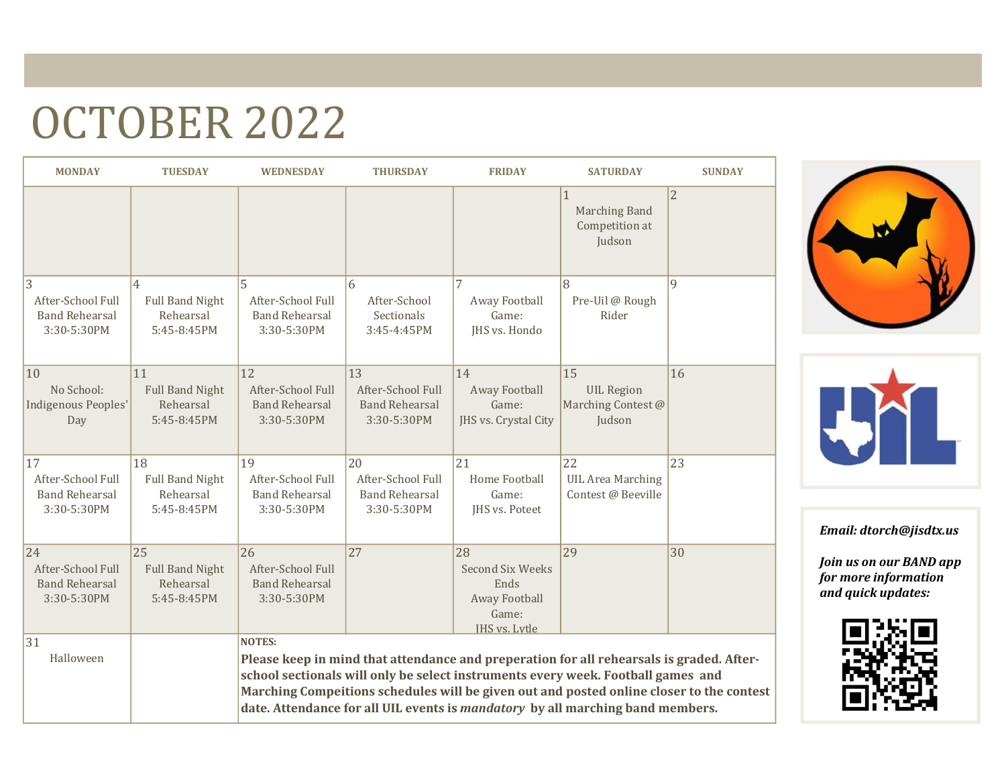## OCTOBER 2022

| <b>MONDAY</b>                                                   | <b>TUESDAY</b>                                                       | <b>WEDNESDAY</b>                                                | <b>THURSDAY</b>                                                 | <b>FRIDAY</b>                                                                    | <b>SATURDAY</b>                                                                                                                                                                                                                                                                                                                                            | <b>SUNDAY</b>  |
|-----------------------------------------------------------------|----------------------------------------------------------------------|-----------------------------------------------------------------|-----------------------------------------------------------------|----------------------------------------------------------------------------------|------------------------------------------------------------------------------------------------------------------------------------------------------------------------------------------------------------------------------------------------------------------------------------------------------------------------------------------------------------|----------------|
|                                                                 |                                                                      |                                                                 |                                                                 |                                                                                  | $\mathbf{1}$<br><b>Marching Band</b><br>Competition at<br>Judson                                                                                                                                                                                                                                                                                           | $\overline{2}$ |
| 3<br>After-School Full<br><b>Band Rehearsal</b><br>3:30-5:30PM  | $\overline{4}$<br><b>Full Band Night</b><br>Rehearsal<br>5:45-8:45PM | 5<br>After-School Full<br><b>Band Rehearsal</b><br>3:30-5:30PM  | 6<br>After-School<br>Sectionals<br>3:45-4:45PM                  | 7<br>Away Football<br>Game:<br>JHS vs. Hondo                                     | 8<br>Pre-Uil @ Rough<br>Rider                                                                                                                                                                                                                                                                                                                              | 9              |
| 10<br>No School:<br>Indigenous Peoples'<br>Day                  | 11<br><b>Full Band Night</b><br>Rehearsal<br>5:45-8:45PM             | 12<br>After-School Full<br><b>Band Rehearsal</b><br>3:30-5:30PM | 13<br>After-School Full<br><b>Band Rehearsal</b><br>3:30-5:30PM | 14<br>Away Football<br>Game:<br>JHS vs. Crystal City                             | 15<br><b>UIL Region</b><br>Marching Contest @<br>Judson                                                                                                                                                                                                                                                                                                    | 16             |
| 17<br>After-School Full<br><b>Band Rehearsal</b><br>3:30-5:30PM | 18<br><b>Full Band Night</b><br>Rehearsal<br>5:45-8:45PM             | 19<br>After-School Full<br><b>Band Rehearsal</b><br>3:30-5:30PM | 20<br>After-School Full<br><b>Band Rehearsal</b><br>3:30-5:30PM | 21<br><b>Home Football</b><br>Game:<br>JHS vs. Poteet                            | 22<br><b>UIL Area Marching</b><br>Contest @ Beeville                                                                                                                                                                                                                                                                                                       | 23             |
| 24<br>After-School Full<br><b>Band Rehearsal</b><br>3:30-5:30PM | 25<br><b>Full Band Night</b><br>Rehearsal<br>5:45-8:45PM             | 26<br>After-School Full<br><b>Band Rehearsal</b><br>3:30-5:30PM | 27                                                              | 28<br><b>Second Six Weeks</b><br>Ends<br>Away Football<br>Game:<br>IHS vs. Lytle | 29                                                                                                                                                                                                                                                                                                                                                         | 30             |
| 31<br>Halloween                                                 |                                                                      | <b>NOTES:</b>                                                   |                                                                 |                                                                                  | Please keep in mind that attendance and preperation for all rehearsals is graded. After-<br>school sectionals will only be select instruments every week. Football games and<br>Marching Compeitions schedules will be given out and posted online closer to the contest<br>date. Attendance for all UIL events is mandatory by all marching band members. |                |





Email: dtorch@jisdtx.us

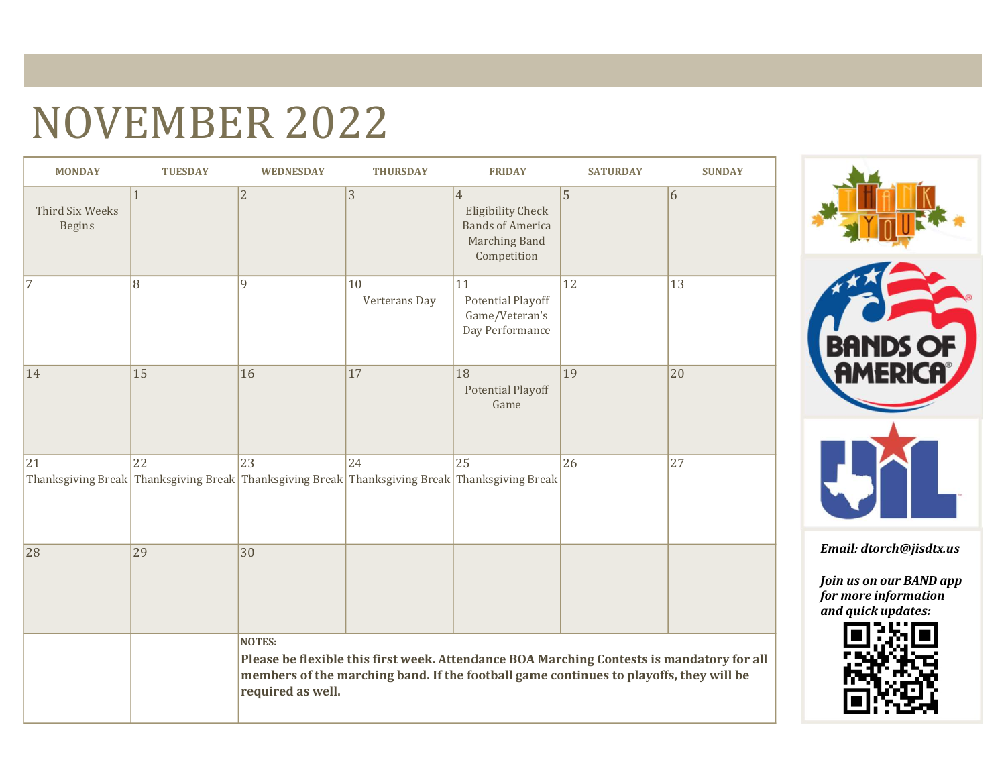### NOVEMBER 2022

| <b>MONDAY</b>                    | <b>TUESDAY</b> | <b>WEDNESDAY</b>                   | <b>THURSDAY</b>     | <b>FRIDAY</b>                                                                                                                                                                       | <b>SATURDAY</b> | <b>SUNDAY</b> |
|----------------------------------|----------------|------------------------------------|---------------------|-------------------------------------------------------------------------------------------------------------------------------------------------------------------------------------|-----------------|---------------|
| Third Six Weeks<br><b>Begins</b> | $\mathbf{1}$   | $\sqrt{2}$                         | 3                   | $\overline{4}$<br><b>Eligibility Check</b><br><b>Bands of America</b><br>Marching Band<br>Competition                                                                               | 5               | 6             |
| 7                                | 8              | 9                                  | 10<br>Verterans Day | 11<br><b>Potential Playoff</b><br>Game/Veteran's<br>Day Performance                                                                                                                 | 12              | 13            |
| 14                               | 15             | 16                                 | 17                  | 18<br><b>Potential Playoff</b><br>Game                                                                                                                                              | 19              | 20            |
| 21                               | 22             | 23                                 | 24                  | 25<br>Thanksgiving Break Thanksgiving Break Thanksgiving Break Thanksgiving Break Thanksgiving Break                                                                                | 26              | 27            |
| 28                               | 29             | 30                                 |                     |                                                                                                                                                                                     |                 |               |
|                                  |                | <b>NOTES:</b><br>required as well. |                     | Please be flexible this first week. Attendance BOA Marching Contests is mandatory for all<br>members of the marching band. If the football game continues to playoffs, they will be |                 |               |